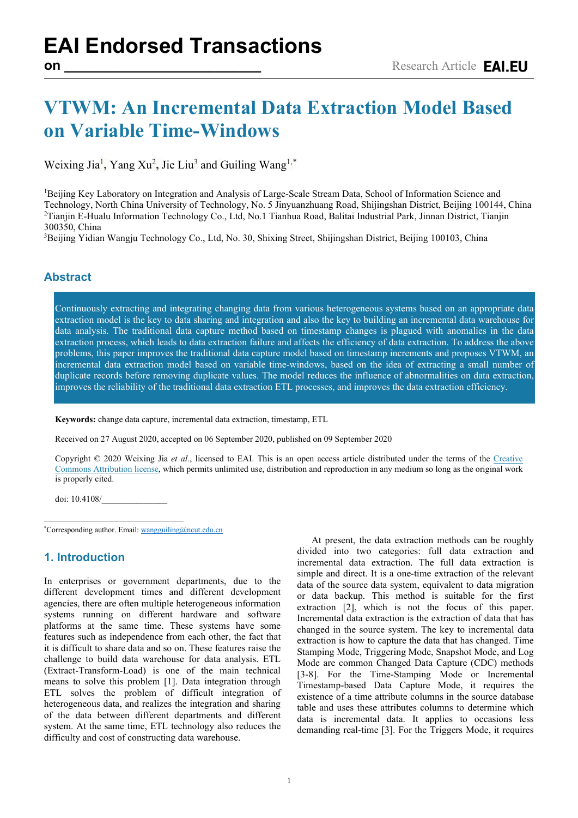# **VTWM: An Incremental Data Extraction Model Based on Variable Time-Windows**

Weixing Jia<sup>1</sup>, Yang Xu<sup>2</sup>, Jie Liu<sup>3</sup> and Guiling Wang<sup>1,[\\*](#page-0-0)</sup>

<sup>1</sup>Beijing Key Laboratory on Integration and Analysis of Large-Scale Stream Data, School of Information Science and Technology, North China University of Technology, No. 5 Jinyuanzhuang Road, Shijingshan District, Beijing 100144, China 2 Tianjin E-Hualu Information Technology Co., Ltd, No.1 Tianhua Road, Balitai Industrial Park, Jinnan District, Tianjin 300350, China 3

<sup>3</sup>Beijing Yidian Wangju Technology Co., Ltd, No. 30, Shixing Street, Shijingshan District, Beijing 100103, China

## **Abstract**

Continuously extracting and integrating changing data from various heterogeneous systems based on an appropriate data extraction model is the key to data sharing and integration and also the key to building an incremental data warehouse for data analysis. The traditional data capture method based on timestamp changes is plagued with anomalies in the data extraction process, which leads to data extraction failure and affects the efficiency of data extraction. To address the above problems, this paper improves the traditional data capture model based on timestamp increments and proposes VTWM, an incremental data extraction model based on variable time-windows, based on the idea of extracting a small number of duplicate records before removing duplicate values. The model reduces the influence of abnormalities on data extraction, improves the reliability of the traditional data extraction ETL processes, and improves the data extraction efficiency.

**Keywords:** change data capture, incremental data extraction, timestamp, ETL

Received on 27 August 2020, accepted on 06 September 2020, published on 09 September 2020

Copyright © 2020 Weixing Jia *et al.*, licensed to EAI. This is an open access article distributed under the terms of the [Creative](mailto:https://creativecommons.org/licenses/by/4.0/)  [Commons Attribution license,](mailto:https://creativecommons.org/licenses/by/4.0/) which permits unlimited use, distribution and reproduction in any medium so long as the original work is properly cited.

doi: 10.4108/\_\_\_\_\_\_\_\_\_\_\_\_\_\_\_

<span id="page-0-0"></span>\* Corresponding author. Email: wangguiling@ncut.edu.cn

## **1. Introduction**

In enterprises or government departments, due to the different development times and different development agencies, there are often multiple heterogeneous information systems running on different hardware and software platforms at the same time. These systems have some features such as independence from each other, the fact that it is difficult to share data and so on. These features raise the challenge to build data warehouse for data analysis. ETL (Extract-Transform-Load) is one of the main technical means to solve this problem [1]. Data integration through ETL solves the problem of difficult integration of heterogeneous data, and realizes the integration and sharing of the data between different departments and different system. At the same time, ETL technology also reduces the difficulty and cost of constructing data warehouse.

At present, the data extraction methods can be roughly divided into two categories: full data extraction and incremental data extraction. The full data extraction is simple and direct. It is a one-time extraction of the relevant data of the source data system, equivalent to data migration or data backup. This method is suitable for the first extraction [2], which is not the focus of this paper. Incremental data extraction is the extraction of data that has changed in the source system. The key to incremental data extraction is how to capture the data that has changed. Time Stamping Mode, Triggering Mode, Snapshot Mode, and Log Mode are common Changed Data Capture (CDC) methods [3-8]. For the Time-Stamping Mode or Incremental Timestamp-based Data Capture Mode, it requires the existence of a time attribute columns in the source database table and uses these attributes columns to determine which data is incremental data. It applies to occasions less demanding real-time [3]. For the Triggers Mode, it requires

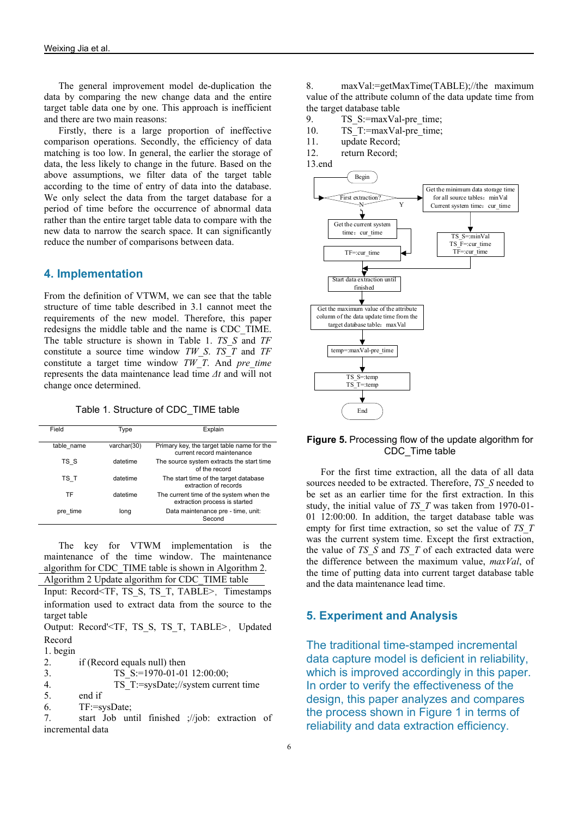The general improvement model de-duplication the data by comparing the new change data and the entire target table data one by one. This approach is inefficient and there are two main reasons:

Firstly, there is a large proportion of ineffective comparison operations. Secondly, the efficiency of data matching is too low. In general, the earlier the storage of data, the less likely to change in the future. Based on the above assumptions, we filter data of the target table according to the time of entry of data into the database. We only select the data from the target database for a period of time before the occurrence of abnormal data rather than the entire target table data to compare with the new data to narrow the search space. It can significantly reduce the number of comparisons between data.

## **4. Implementation**

From the definition of VTWM, we can see that the table structure of time table described in 3.1 cannot meet the requirements of the new model. Therefore, this paper redesigns the middle table and the name is CDC\_TIME. The table structure is shown in Table 1. *TS\_S* and *TF* constitute a source time window *TW\_S*. *TS\_T* and *TF* constitute a target time window *TW\_T*. And *pre\_time* represents the data maintenance lead time *Δt* and will not change once determined.

Table 1. Structure of CDC\_TIME table

| Field      | Type        | Explain                                                                  |
|------------|-------------|--------------------------------------------------------------------------|
| table name | varchar(30) | Primary key, the target table name for the<br>current record maintenance |
| TS S       | datetime    | The source system extracts the start time<br>of the record               |
| TS T       | datetime    | The start time of the target database<br>extraction of records           |
| TF         | datetime    | The current time of the system when the<br>extraction process is started |
| pre time   | long        | Data maintenance pre - time, unit:<br>Second                             |

The key for VTWM implementation is the maintenance of the time window. The maintenance algorithm for CDC\_TIME table is shown in Algorithm 2.

Algorithm 2 Update algorithm for CDC\_TIME table Input: Record<TF, TS\_S, TS\_T, TABLE>, Timestamps information used to extract data from the source to the target table

Output: Record'<TF, TS\_S, TS\_T, TABLE>,Updated Record

1. begin

2. if (Record equals null) then

3. TS S:=1970-01-01 12:00:00;

4. TS\_T:=sysDate;//system current time

5. end if

6. TF:=sysDate;

7. start Job until finished ;//job: extraction of incremental data

8. maxVal:=getMaxTime(TABLE);//the maximum value of the attribute column of the data update time from the target database table

9. TS S:=maxVal-pre\_time;

10. TS T:=maxVal-pre\_time;

11. update Record;

12. return Record;

13.end



#### **Figure 5.** Processing flow of the update algorithm for CDC\_Time table

For the first time extraction, all the data of all data sources needed to be extracted. Therefore, *TS\_S* needed to be set as an earlier time for the first extraction. In this study, the initial value of *TS\_T* was taken from 1970-01- 01 12:00:00. In addition, the target database table was empty for first time extraction, so set the value of *TS\_T* was the current system time. Except the first extraction, the value of *TS\_S* and *TS\_T* of each extracted data were the difference between the maximum value, *maxVal*, of the time of putting data into current target database table and the data maintenance lead time.

#### **5. Experiment and Analysis**

The traditional time-stamped incremental data capture model is deficient in reliability, which is improved accordingly in this paper. In order to verify the effectiveness of the design, this paper analyzes and compares the process shown in Figure 1 in terms of reliability and data extraction efficiency.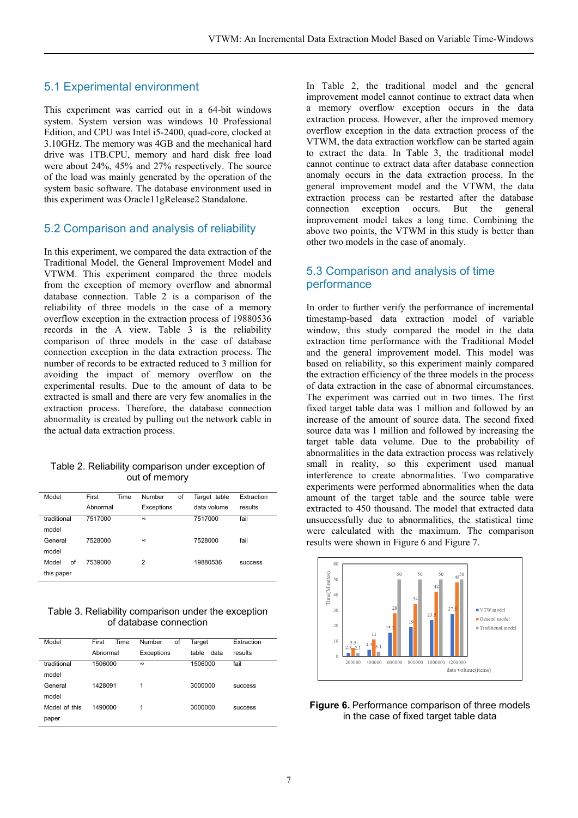# 5.1 Experimental environment

This experiment was carried out in a 64-bit windows system. System version was windows 10 Professional Edition, and CPU was Intel i5-2400, quad-core, clocked at 3.10GHz. The memory was 4GB and the mechanical hard drive was 1TB.CPU, memory and hard disk free load were about 24%, 45% and 27% respectively. The source of the load was mainly generated by the operation of the system basic software. The database environment used in this experiment was Oracle11gRelease2 Standalone.

## 5.2 Comparison and analysis of reliability

In this experiment, we compared the data extraction of the Traditional Model, the General Improvement Model and VTWM. This experiment compared the three models from the exception of memory overflow and abnormal database connection. Table 2 is a comparison of the reliability of three models in the case of a memory overflow exception in the extraction process of 19880536 records in the A view. Table 3 is the reliability comparison of three models in the case of database connection exception in the data extraction process. The number of records to be extracted reduced to 3 million for avoiding the impact of memory overflow on the experimental results. Due to the amount of data to be extracted is small and there are very few anomalies in the extraction process. Therefore, the database connection abnormality is created by pulling out the network cable in the actual data extraction process.

#### Table 2. Reliability comparison under exception of out of memory

| First    | Number<br>of | Target table | Extraction     |
|----------|--------------|--------------|----------------|
| Abnormal | Exceptions   | data volume  | results        |
| 7517000  | $\infty$     | 7517000      | fail           |
|          |              |              |                |
| 7528000  | $\infty$     | 7528000      | fail           |
|          |              |              |                |
| 7539000  | 2            | 19880536     | <b>SUCCESS</b> |
|          |              |              |                |
|          |              | Time         |                |

Table 3. Reliability comparison under the exception of database connection

| Model         | First<br>Time | Number<br>of | Target        | Extraction     |
|---------------|---------------|--------------|---------------|----------------|
|               | Abnormal      | Exceptions   | table<br>data | results        |
| traditional   | 1506000       | $\infty$     | 1506000       | fail           |
| model         |               |              |               |                |
| General       | 1428091       | 1            | 3000000       | <b>SUCCESS</b> |
| model         |               |              |               |                |
| Model of this | 1490000       | 1            | 3000000       | <b>SUCCESS</b> |
| paper         |               |              |               |                |

In Table 2, the traditional model and the general improvement model cannot continue to extract data when a memory overflow exception occurs in the data extraction process. However, after the improved memory overflow exception in the data extraction process of the VTWM, the data extraction workflow can be started again to extract the data. In Table 3, the traditional model cannot continue to extract data after database connection anomaly occurs in the data extraction process. In the general improvement model and the VTWM, the data extraction process can be restarted after the database connection exception occurs. But the general improvement model takes a long time. Combining the above two points, the VTWM in this study is better than other two models in the case of anomaly.

## 5.3 Comparison and analysis of time performance

In order to further verify the performance of incremental timestamp-based data extraction model of variable window, this study compared the model in the data extraction time performance with the Traditional Model and the general improvement model. This model was based on reliability, so this experiment mainly compared the extraction efficiency of the three models in the process of data extraction in the case of abnormal circumstances. The experiment was carried out in two times. The first fixed target table data was 1 million and followed by an increase of the amount of source data. The second fixed source data was 1 million and followed by increasing the target table data volume. Due to the probability of abnormalities in the data extraction process was relatively small in reality, so this experiment used manual interference to create abnormalities. Two comparative experiments were performed abnormalities when the data amount of the target table and the source table were extracted to 450 thousand. The model that extracted data unsuccessfully due to abnormalities, the statistical time were calculated with the maximum. The comparison results were shown in Figure 6 and Figure 7.





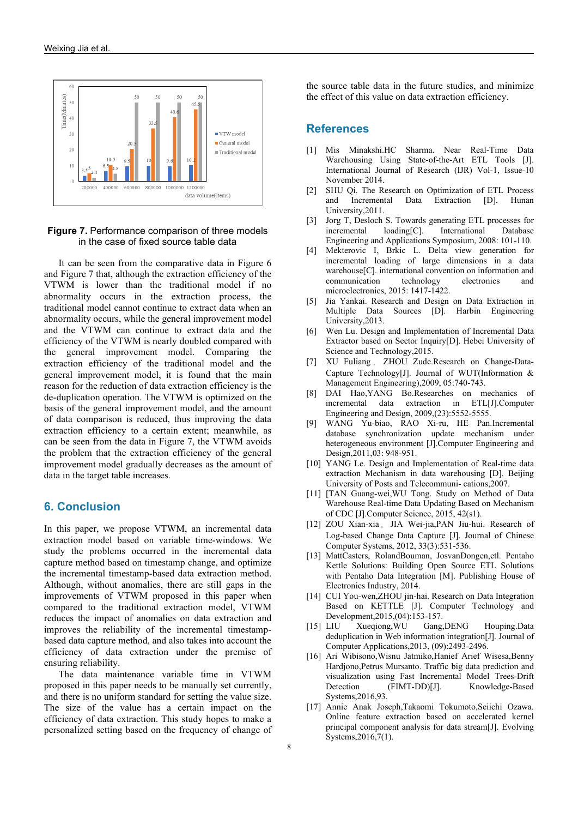

#### **Figure 7.** Performance comparison of three models in the case of fixed source table data

It can be seen from the comparative data in Figure 6 and Figure 7 that, although the extraction efficiency of the VTWM is lower than the traditional model if no abnormality occurs in the extraction process, the traditional model cannot continue to extract data when an abnormality occurs, while the general improvement model and the VTWM can continue to extract data and the efficiency of the VTWM is nearly doubled compared with the general improvement model. Comparing the extraction efficiency of the traditional model and the general improvement model, it is found that the main reason for the reduction of data extraction efficiency is the de-duplication operation. The VTWM is optimized on the basis of the general improvement model, and the amount of data comparison is reduced, thus improving the data extraction efficiency to a certain extent; meanwhile, as can be seen from the data in Figure 7, the VTWM avoids the problem that the extraction efficiency of the general improvement model gradually decreases as the amount of data in the target table increases.

#### **6. Conclusion**

In this paper, we propose VTWM, an incremental data extraction model based on variable time-windows. We study the problems occurred in the incremental data capture method based on timestamp change, and optimize the incremental timestamp-based data extraction method. Although, without anomalies, there are still gaps in the improvements of VTWM proposed in this paper when compared to the traditional extraction model, VTWM reduces the impact of anomalies on data extraction and improves the reliability of the incremental timestampbased data capture method, and also takes into account the efficiency of data extraction under the premise of ensuring reliability.

The data maintenance variable time in VTWM proposed in this paper needs to be manually set currently, and there is no uniform standard for setting the value size. The size of the value has a certain impact on the efficiency of data extraction. This study hopes to make a personalized setting based on the frequency of change of the source table data in the future studies, and minimize the effect of this value on data extraction efficiency.

#### **References**

- [1] Mis Minakshi.HC Sharma. Near Real-Time Data Warehousing Using State-of-the-Art ETL Tools [J]. International Journal of Research (IJR) Vol-1, Issue-10 November 2014.
- [2] SHU Qi. The Research on Optimization of ETL Process and Incremental Data Extraction [D]. Hunan University,2011.
- [3] Jorg T, Desloch S. Towards generating ETL processes for incremental loading[C]. International Database Engineering and Applications Symposium, 2008: 101-110.
- [4] Mekterovic I, Brkic L. Delta view generation for incremental loading of large dimensions in a data warehouse[C]. international convention on information and communication technology electronics and microelectronics, 2015: 1417-1422.
- [5] Jia Yankai. Research and Design on Data Extraction in Multiple Data Sources [D]. Harbin Engineering University,2013.
- [6] Wen Lu. Design and Implementation of Incremental Data Extractor based on Sector Inquiry[D]. Hebei University of Science and Technology,2015.
- [7] XU Fuliang , ZHOU Zude.Research on Change-Data-Capture Technology[J]. Journal of WUT(Information & Management Engineering),2009, 05:740-743.
- [8] DAI Hao,YANG Bo.Researches on mechanics of incremental data extraction in ETL[J].Computer Engineering and Design, 2009,(23):5552-5555.
- [9] WANG Yu-biao, RAO Xi-ru, HE Pan.Incremental database synchronization update mechanism under heterogeneous environment [J].Computer Engineering and Design,2011,03: 948-951.
- [10] YANG Le. Design and Implementation of Real-time data extraction Mechanism in data warehousing [D]. Beijing University of Posts and Telecommuni- cations,2007.
- [11] [TAN Guang-wei,WU Tong. Study on Method of Data Warehouse Real-time Data Updating Based on Mechanism of CDC [J].Computer Science, 2015, 42(s1).
- [12] ZOU Xian-xia, JIA Wei-jia,PAN Jiu-hui. Research of Log-based Change Data Capture [J]. Journal of Chinese Computer Systems, 2012, 33(3):531-536.
- [13] MattCasters, RolandBouman, JosvanDongen,etl. Pentaho Kettle Solutions: Building Open Source ETL Solutions with Pentaho Data Integration [M]. Publishing House of Electronics Industry, 2014.
- [14] CUI You-wen, ZHOU jin-hai. Research on Data Integration Based on KETTLE [J]. Computer Technology and Development,2015,(04):153-157.
- [15] LIU Xueqiong,WU Gang,DENG Houping.Data deduplication in Web information integration[J]. Journal of Computer Applications,2013, (09):2493-2496.
- [16] Ari Wibisono,Wisnu Jatmiko,Hanief Arief Wisesa,Benny Hardjono,Petrus Mursanto. Traffic big data prediction and visualization using Fast Incremental Model Trees-Drift Detection (FIMT-DD)[J]. Knowledge-Based Systems,2016,93.
- [17] Annie Anak Joseph,Takaomi Tokumoto,Seiichi Ozawa. Online feature extraction based on accelerated kernel principal component analysis for data stream[J]. Evolving Systems,2016,7(1).